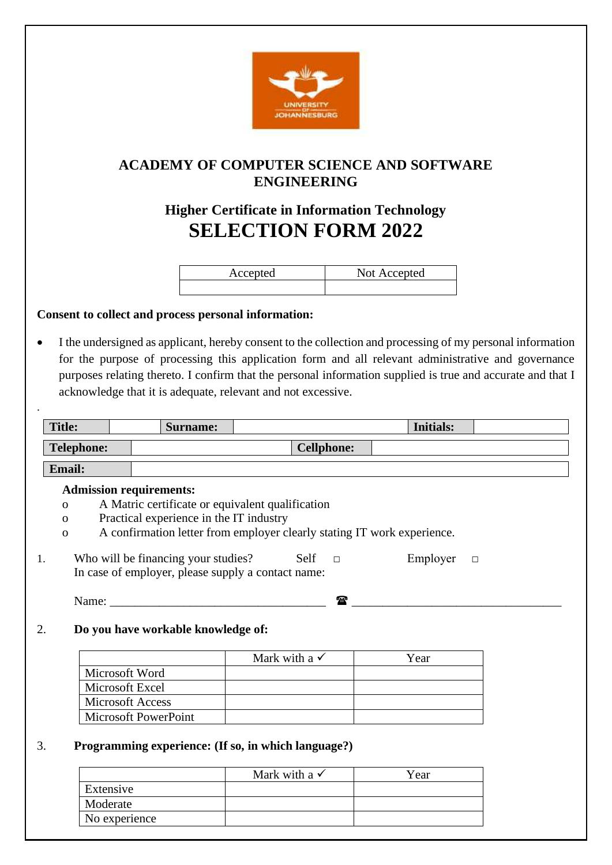

# **ACADEMY OF COMPUTER SCIENCE AND SOFTWARE ENGINEERING**

# **Higher Certificate in Information Technology SELECTION FORM 2022**

| Accepted | Not Accepted |
|----------|--------------|
|          |              |

### **Consent to collect and process personal information:**

.

• I the undersigned as applicant, hereby consent to the collection and processing of my personal information for the purpose of processing this application form and all relevant administrative and governance purposes relating thereto. I confirm that the personal information supplied is true and accurate and that I acknowledge that it is adequate, relevant and not excessive.

|                   |                                                                           | <b>Surname:</b> |                                                                                                       |                   | <b>Initials:</b>                                                        |        |
|-------------------|---------------------------------------------------------------------------|-----------------|-------------------------------------------------------------------------------------------------------|-------------------|-------------------------------------------------------------------------|--------|
| <b>Telephone:</b> |                                                                           |                 |                                                                                                       | <b>Cellphone:</b> |                                                                         |        |
| <b>Email:</b>     |                                                                           |                 |                                                                                                       |                   |                                                                         |        |
|                   | <b>Admission requirements:</b>                                            |                 |                                                                                                       |                   |                                                                         |        |
| $\mathbf{O}$      |                                                                           |                 | A Matric certificate or equivalent qualification                                                      |                   |                                                                         |        |
| $\Omega$          | Practical experience in the IT industry                                   |                 |                                                                                                       |                   |                                                                         |        |
| $\mathbf{O}$      |                                                                           |                 |                                                                                                       |                   | A confirmation letter from employer clearly stating IT work experience. |        |
| 1.                | Name: $\frac{1}{\sqrt{1-\frac{1}{2}}\cdot\frac{1}{\sqrt{1-\frac{1}{2}}}}$ |                 | Who will be financing your studies? Self $\Box$<br>In case of employer, please supply a contact name: | Ŧ                 | Employer                                                                | $\Box$ |
|                   |                                                                           |                 |                                                                                                       |                   |                                                                         |        |
|                   | Do you have workable knowledge of:                                        |                 |                                                                                                       |                   |                                                                         |        |
|                   |                                                                           |                 | Mark with a $\checkmark$                                                                              |                   | Year                                                                    |        |
|                   | Microsoft Word                                                            |                 |                                                                                                       |                   |                                                                         |        |
|                   | Microsoft Excel                                                           |                 |                                                                                                       |                   |                                                                         |        |
|                   | <b>Microsoft Access</b>                                                   |                 |                                                                                                       |                   |                                                                         |        |

|               | Mark with a $\checkmark$ | Year |
|---------------|--------------------------|------|
| Extensive     |                          |      |
| Moderate      |                          |      |
| No experience |                          |      |
|               |                          |      |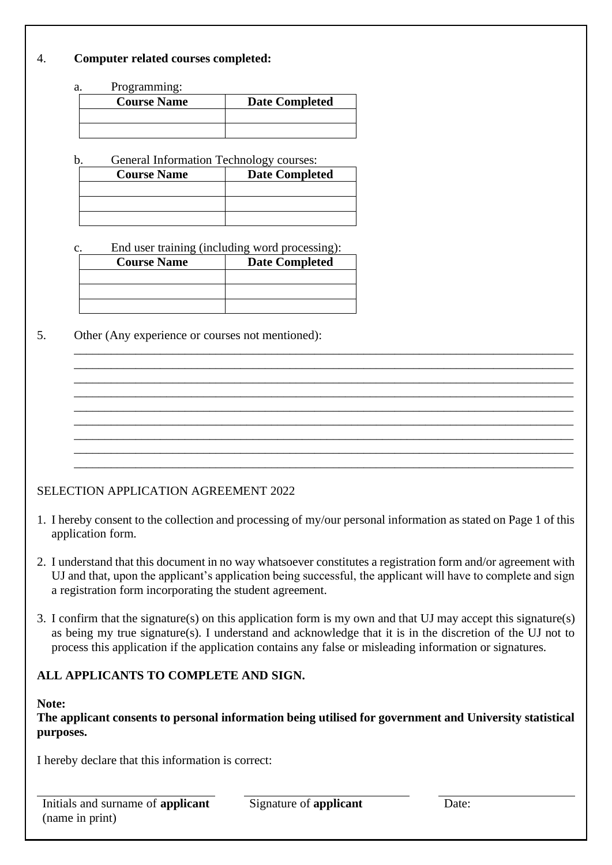#### 4. **Computer related courses completed:**

a. Programming:

| <b>Course Name</b> | <b>Date Completed</b> |
|--------------------|-----------------------|
|                    |                       |
|                    |                       |

b. General Information Technology courses:

| <b>Course Name</b> | <b>Date Completed</b> |
|--------------------|-----------------------|
|                    |                       |
|                    |                       |
|                    |                       |

c. End user training (including word processing):

| <b>Course Name</b> | <b>Date Completed</b> |
|--------------------|-----------------------|
|                    |                       |
|                    |                       |
|                    |                       |

5. Other (Any experience or courses not mentioned):

## SELECTION APPLICATION AGREEMENT 2022

1. I hereby consent to the collection and processing of my/our personal information as stated on Page 1 of this application form.

\_\_\_\_\_\_\_\_\_\_\_\_\_\_\_\_\_\_\_\_\_\_\_\_\_\_\_\_\_\_\_\_\_\_\_\_\_\_\_\_\_\_\_\_\_\_\_\_\_\_\_\_\_\_\_\_\_\_\_\_\_\_\_\_\_\_\_\_\_\_\_\_\_\_\_\_\_\_\_\_\_ \_\_\_\_\_\_\_\_\_\_\_\_\_\_\_\_\_\_\_\_\_\_\_\_\_\_\_\_\_\_\_\_\_\_\_\_\_\_\_\_\_\_\_\_\_\_\_\_\_\_\_\_\_\_\_\_\_\_\_\_\_\_\_\_\_\_\_\_\_\_\_\_\_\_\_\_\_\_\_\_\_ \_\_\_\_\_\_\_\_\_\_\_\_\_\_\_\_\_\_\_\_\_\_\_\_\_\_\_\_\_\_\_\_\_\_\_\_\_\_\_\_\_\_\_\_\_\_\_\_\_\_\_\_\_\_\_\_\_\_\_\_\_\_\_\_\_\_\_\_\_\_\_\_\_\_\_\_\_\_\_\_\_ \_\_\_\_\_\_\_\_\_\_\_\_\_\_\_\_\_\_\_\_\_\_\_\_\_\_\_\_\_\_\_\_\_\_\_\_\_\_\_\_\_\_\_\_\_\_\_\_\_\_\_\_\_\_\_\_\_\_\_\_\_\_\_\_\_\_\_\_\_\_\_\_\_\_\_\_\_\_\_\_\_ \_\_\_\_\_\_\_\_\_\_\_\_\_\_\_\_\_\_\_\_\_\_\_\_\_\_\_\_\_\_\_\_\_\_\_\_\_\_\_\_\_\_\_\_\_\_\_\_\_\_\_\_\_\_\_\_\_\_\_\_\_\_\_\_\_\_\_\_\_\_\_\_\_\_\_\_\_\_\_\_\_ \_\_\_\_\_\_\_\_\_\_\_\_\_\_\_\_\_\_\_\_\_\_\_\_\_\_\_\_\_\_\_\_\_\_\_\_\_\_\_\_\_\_\_\_\_\_\_\_\_\_\_\_\_\_\_\_\_\_\_\_\_\_\_\_\_\_\_\_\_\_\_\_\_\_\_\_\_\_\_\_\_ \_\_\_\_\_\_\_\_\_\_\_\_\_\_\_\_\_\_\_\_\_\_\_\_\_\_\_\_\_\_\_\_\_\_\_\_\_\_\_\_\_\_\_\_\_\_\_\_\_\_\_\_\_\_\_\_\_\_\_\_\_\_\_\_\_\_\_\_\_\_\_\_\_\_\_\_\_\_\_\_\_ \_\_\_\_\_\_\_\_\_\_\_\_\_\_\_\_\_\_\_\_\_\_\_\_\_\_\_\_\_\_\_\_\_\_\_\_\_\_\_\_\_\_\_\_\_\_\_\_\_\_\_\_\_\_\_\_\_\_\_\_\_\_\_\_\_\_\_\_\_\_\_\_\_\_\_\_\_\_\_\_\_ \_\_\_\_\_\_\_\_\_\_\_\_\_\_\_\_\_\_\_\_\_\_\_\_\_\_\_\_\_\_\_\_\_\_\_\_\_\_\_\_\_\_\_\_\_\_\_\_\_\_\_\_\_\_\_\_\_\_\_\_\_\_\_\_\_\_\_\_\_\_\_\_\_\_\_\_\_\_\_\_\_

- 2. I understand that this document in no way whatsoever constitutes a registration form and/or agreement with UJ and that, upon the applicant's application being successful, the applicant will have to complete and sign a registration form incorporating the student agreement.
- 3. I confirm that the signature(s) on this application form is my own and that UJ may accept this signature(s) as being my true signature(s). I understand and acknowledge that it is in the discretion of the UJ not to process this application if the application contains any false or misleading information or signatures.

#### **ALL APPLICANTS TO COMPLETE AND SIGN.**

#### **Note:**

**The applicant consents to personal information being utilised for government and University statistical purposes.**

I hereby declare that this information is correct:

Signature of **applicant** Date: